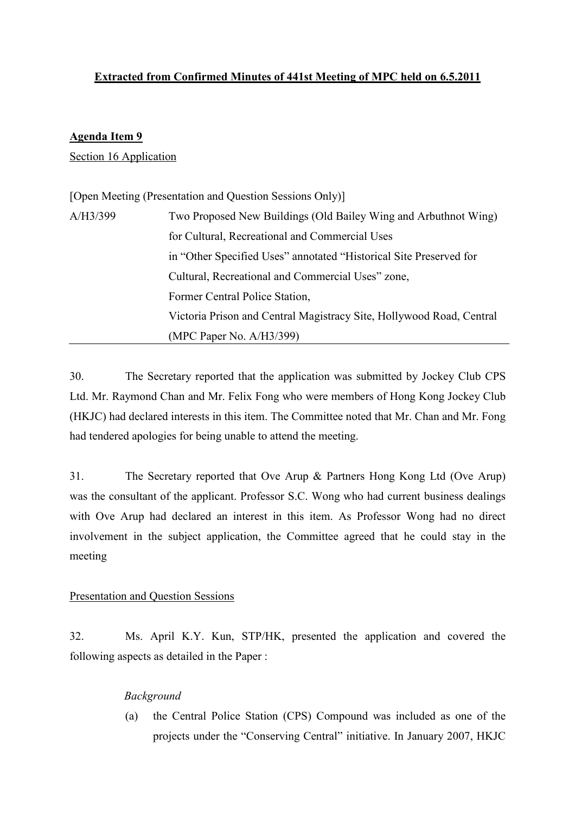# Extracted from Confirmed Minutes of 441st Meeting of MPC held on 6.5.2011

## Agenda Item 9

Section 16 Application

| [Open Meeting (Presentation and Question Sessions Only)] |                                                                      |
|----------------------------------------------------------|----------------------------------------------------------------------|
| A/H3/399                                                 | Two Proposed New Buildings (Old Bailey Wing and Arbuthnot Wing)      |
|                                                          | for Cultural, Recreational and Commercial Uses                       |
|                                                          | in "Other Specified Uses" annotated "Historical Site Preserved for   |
|                                                          | Cultural, Recreational and Commercial Uses" zone,                    |
|                                                          | Former Central Police Station,                                       |
|                                                          | Victoria Prison and Central Magistracy Site, Hollywood Road, Central |
|                                                          | $(MPC$ Paper No. $A/H3/399)$                                         |

30. The Secretary reported that the application was submitted by Jockey Club CPS Ltd. Mr. Raymond Chan and Mr. Felix Fong who were members of Hong Kong Jockey Club (HKJC) had declared interests in this item. The Committee noted that Mr. Chan and Mr. Fong had tendered apologies for being unable to attend the meeting.

31. The Secretary reported that Ove Arup & Partners Hong Kong Ltd (Ove Arup) was the consultant of the applicant. Professor S.C. Wong who had current business dealings with Ove Arup had declared an interest in this item. As Professor Wong had no direct involvement in the subject application, the Committee agreed that he could stay in the meeting

## Presentation and Question Sessions

32. Ms. April K.Y. Kun, STP/HK, presented the application and covered the following aspects as detailed in the Paper :

## Background

(a) the Central Police Station (CPS) Compound was included as one of the projects under the "Conserving Central" initiative. In January 2007, HKJC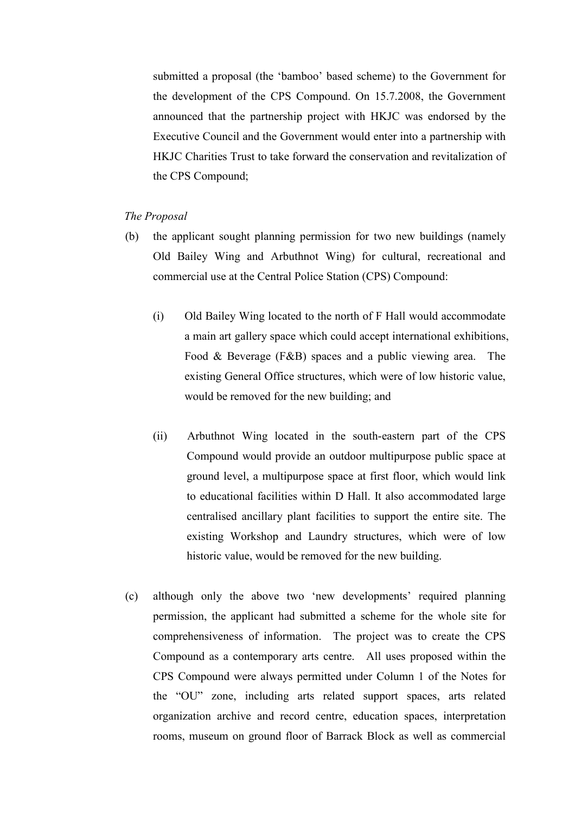submitted a proposal (the 'bamboo' based scheme) to the Government for the development of the CPS Compound. On 15.7.2008, the Government announced that the partnership project with HKJC was endorsed by the Executive Council and the Government would enter into a partnership with HKJC Charities Trust to take forward the conservation and revitalization of the CPS Compound;

## The Proposal

- (b) the applicant sought planning permission for two new buildings (namely Old Bailey Wing and Arbuthnot Wing) for cultural, recreational and commercial use at the Central Police Station (CPS) Compound:
	- (i) Old Bailey Wing located to the north of F Hall would accommodate a main art gallery space which could accept international exhibitions, Food & Beverage (F&B) spaces and a public viewing area. The existing General Office structures, which were of low historic value, would be removed for the new building; and
	- (ii) Arbuthnot Wing located in the south-eastern part of the CPS Compound would provide an outdoor multipurpose public space at ground level, a multipurpose space at first floor, which would link to educational facilities within D Hall. It also accommodated large centralised ancillary plant facilities to support the entire site. The existing Workshop and Laundry structures, which were of low historic value, would be removed for the new building.
- (c) although only the above two 'new developments' required planning permission, the applicant had submitted a scheme for the whole site for comprehensiveness of information. The project was to create the CPS Compound as a contemporary arts centre. All uses proposed within the CPS Compound were always permitted under Column 1 of the Notes for the "OU" zone, including arts related support spaces, arts related organization archive and record centre, education spaces, interpretation rooms, museum on ground floor of Barrack Block as well as commercial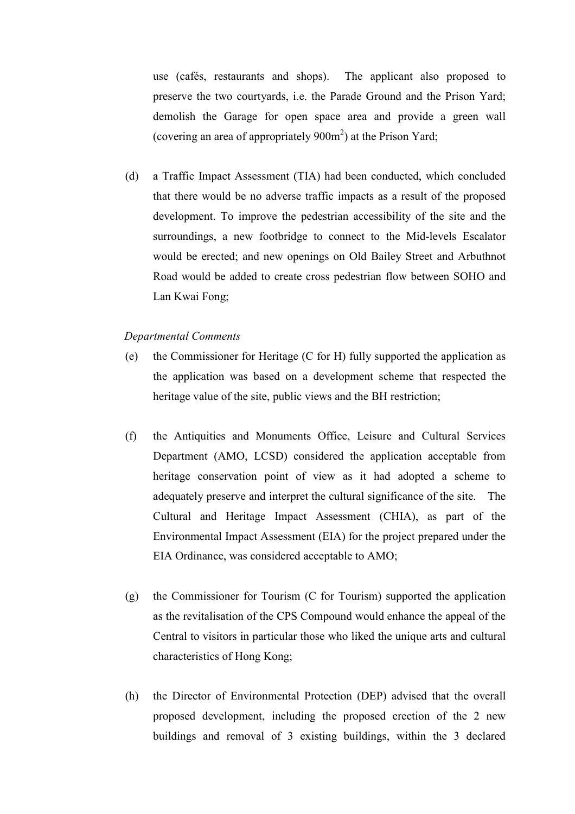use (cafés, restaurants and shops). The applicant also proposed to preserve the two courtyards, i.e. the Parade Ground and the Prison Yard; demolish the Garage for open space area and provide a green wall (covering an area of appropriately  $900m^2$ ) at the Prison Yard;

(d) a Traffic Impact Assessment (TIA) had been conducted, which concluded that there would be no adverse traffic impacts as a result of the proposed development. To improve the pedestrian accessibility of the site and the surroundings, a new footbridge to connect to the Mid-levels Escalator would be erected; and new openings on Old Bailey Street and Arbuthnot Road would be added to create cross pedestrian flow between SOHO and Lan Kwai Fong;

### Departmental Comments

- (e) the Commissioner for Heritage (C for H) fully supported the application as the application was based on a development scheme that respected the heritage value of the site, public views and the BH restriction;
- (f) the Antiquities and Monuments Office, Leisure and Cultural Services Department (AMO, LCSD) considered the application acceptable from heritage conservation point of view as it had adopted a scheme to adequately preserve and interpret the cultural significance of the site. The Cultural and Heritage Impact Assessment (CHIA), as part of the Environmental Impact Assessment (EIA) for the project prepared under the EIA Ordinance, was considered acceptable to AMO;
- (g) the Commissioner for Tourism (C for Tourism) supported the application as the revitalisation of the CPS Compound would enhance the appeal of the Central to visitors in particular those who liked the unique arts and cultural characteristics of Hong Kong;
- (h) the Director of Environmental Protection (DEP) advised that the overall proposed development, including the proposed erection of the 2 new buildings and removal of 3 existing buildings, within the 3 declared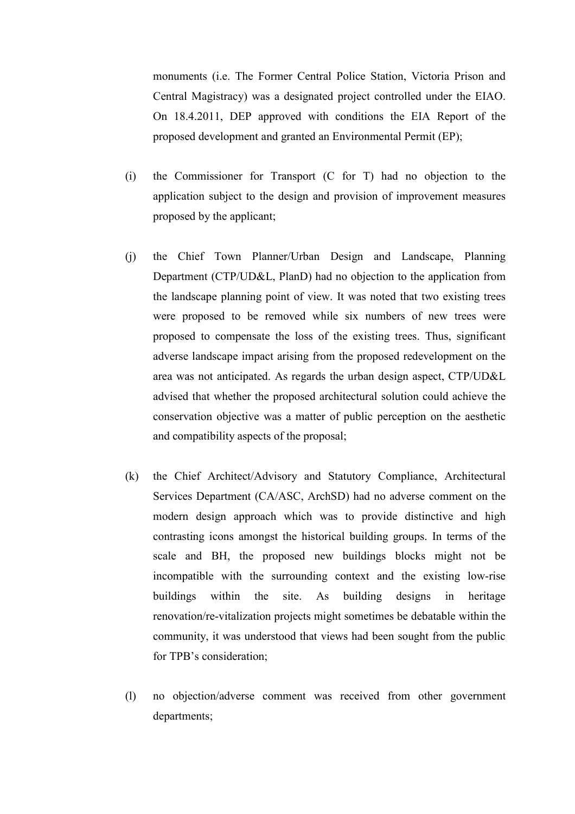monuments (i.e. The Former Central Police Station, Victoria Prison and Central Magistracy) was a designated project controlled under the EIAO. On 18.4.2011, DEP approved with conditions the EIA Report of the proposed development and granted an Environmental Permit (EP);

- (i) the Commissioner for Transport (C for T) had no objection to the application subject to the design and provision of improvement measures proposed by the applicant;
- (j) the Chief Town Planner/Urban Design and Landscape, Planning Department (CTP/UD&L, PlanD) had no objection to the application from the landscape planning point of view. It was noted that two existing trees were proposed to be removed while six numbers of new trees were proposed to compensate the loss of the existing trees. Thus, significant adverse landscape impact arising from the proposed redevelopment on the area was not anticipated. As regards the urban design aspect, CTP/UD&L advised that whether the proposed architectural solution could achieve the conservation objective was a matter of public perception on the aesthetic and compatibility aspects of the proposal;
- (k) the Chief Architect/Advisory and Statutory Compliance, Architectural Services Department (CA/ASC, ArchSD) had no adverse comment on the modern design approach which was to provide distinctive and high contrasting icons amongst the historical building groups. In terms of the scale and BH, the proposed new buildings blocks might not be incompatible with the surrounding context and the existing low-rise buildings within the site. As building designs in heritage renovation/re-vitalization projects might sometimes be debatable within the community, it was understood that views had been sought from the public for TPB's consideration;
- (l) no objection/adverse comment was received from other government departments;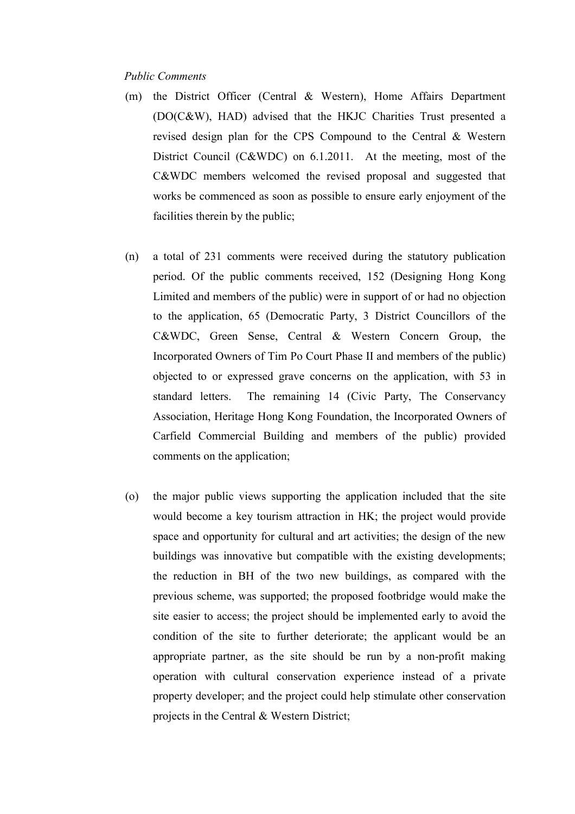#### Public Comments

- (m) the District Officer (Central & Western), Home Affairs Department (DO(C&W), HAD) advised that the HKJC Charities Trust presented a revised design plan for the CPS Compound to the Central & Western District Council (C&WDC) on 6.1.2011. At the meeting, most of the C&WDC members welcomed the revised proposal and suggested that works be commenced as soon as possible to ensure early enjoyment of the facilities therein by the public;
- (n) a total of 231 comments were received during the statutory publication period. Of the public comments received, 152 (Designing Hong Kong Limited and members of the public) were in support of or had no objection to the application, 65 (Democratic Party, 3 District Councillors of the C&WDC, Green Sense, Central & Western Concern Group, the Incorporated Owners of Tim Po Court Phase II and members of the public) objected to or expressed grave concerns on the application, with 53 in standard letters. The remaining 14 (Civic Party, The Conservancy Association, Heritage Hong Kong Foundation, the Incorporated Owners of Carfield Commercial Building and members of the public) provided comments on the application;
- (o) the major public views supporting the application included that the site would become a key tourism attraction in HK; the project would provide space and opportunity for cultural and art activities; the design of the new buildings was innovative but compatible with the existing developments; the reduction in BH of the two new buildings, as compared with the previous scheme, was supported; the proposed footbridge would make the site easier to access; the project should be implemented early to avoid the condition of the site to further deteriorate; the applicant would be an appropriate partner, as the site should be run by a non-profit making operation with cultural conservation experience instead of a private property developer; and the project could help stimulate other conservation projects in the Central & Western District;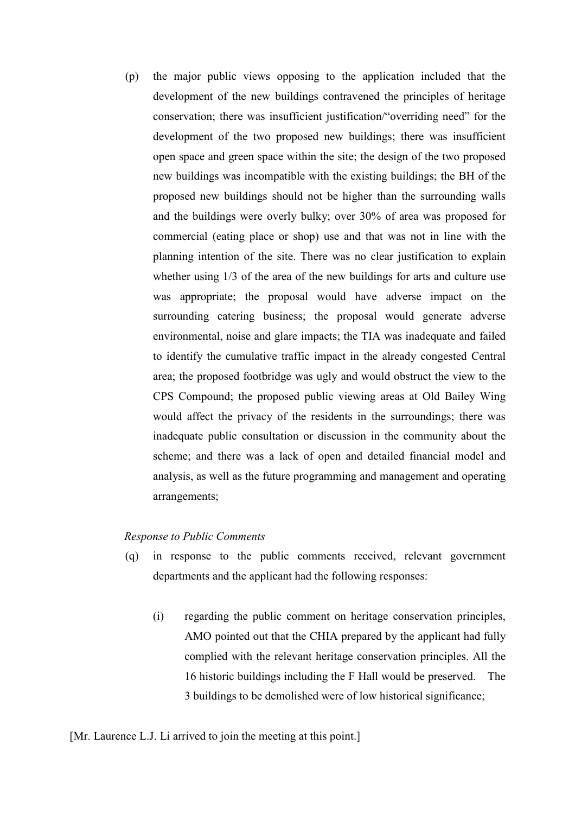(p) the major public views opposing to the application included that the development of the new buildings contravened the principles of heritage conservation; there was insufficient justification/"overriding need" for the development of the two proposed new buildings; there was insufficient open space and green space within the site; the design of the two proposed new buildings was incompatible with the existing buildings; the BH of the proposed new buildings should not be higher than the surrounding walls and the buildings were overly bulky; over 30% of area was proposed for commercial (eating place or shop) use and that was not in line with the planning intention of the site. There was no clear justification to explain whether using 1/3 of the area of the new buildings for arts and culture use was appropriate; the proposal would have adverse impact on the surrounding catering business; the proposal would generate adverse environmental, noise and glare impacts; the TIA was inadequate and failed to identify the cumulative traffic impact in the already congested Central area; the proposed footbridge was ugly and would obstruct the view to the CPS Compound; the proposed public viewing areas at Old Bailey Wing would affect the privacy of the residents in the surroundings; there was inadequate public consultation or discussion in the community about the scheme; and there was a lack of open and detailed financial model and analysis, as well as the future programming and management and operating arrangements;

## Response to Public Comments

- (q) in response to the public comments received, relevant government departments and the applicant had the following responses:
	- (i) regarding the public comment on heritage conservation principles, AMO pointed out that the CHIA prepared by the applicant had fully complied with the relevant heritage conservation principles. All the 16 historic buildings including the F Hall would be preserved. The 3 buildings to be demolished were of low historical significance;

[Mr. Laurence L.J. Li arrived to join the meeting at this point.]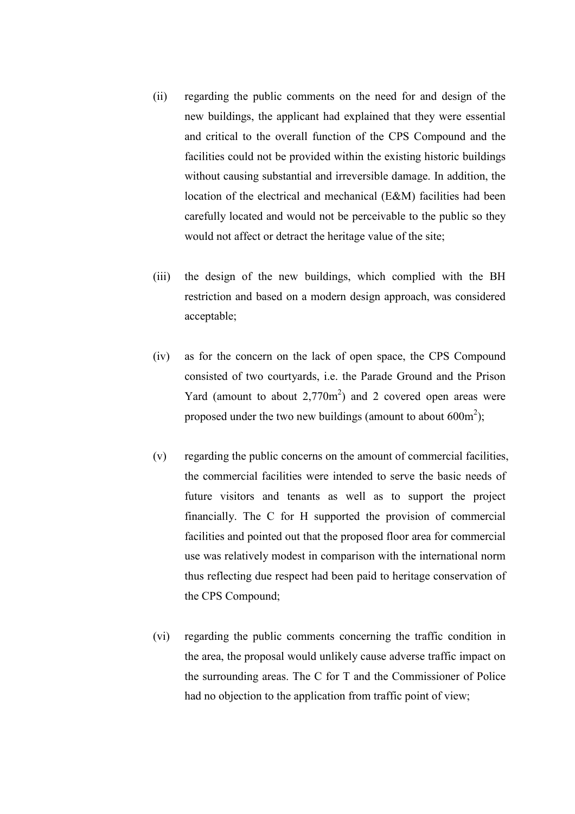- (ii) regarding the public comments on the need for and design of the new buildings, the applicant had explained that they were essential and critical to the overall function of the CPS Compound and the facilities could not be provided within the existing historic buildings without causing substantial and irreversible damage. In addition, the location of the electrical and mechanical (E&M) facilities had been carefully located and would not be perceivable to the public so they would not affect or detract the heritage value of the site;
- (iii) the design of the new buildings, which complied with the BH restriction and based on a modern design approach, was considered acceptable;
- (iv) as for the concern on the lack of open space, the CPS Compound consisted of two courtyards, i.e. the Parade Ground and the Prison Yard (amount to about  $2,770m^2$ ) and 2 covered open areas were proposed under the two new buildings (amount to about  $600m^2$ );
- (v) regarding the public concerns on the amount of commercial facilities, the commercial facilities were intended to serve the basic needs of future visitors and tenants as well as to support the project financially. The C for H supported the provision of commercial facilities and pointed out that the proposed floor area for commercial use was relatively modest in comparison with the international norm thus reflecting due respect had been paid to heritage conservation of the CPS Compound;
- (vi) regarding the public comments concerning the traffic condition in the area, the proposal would unlikely cause adverse traffic impact on the surrounding areas. The C for T and the Commissioner of Police had no objection to the application from traffic point of view;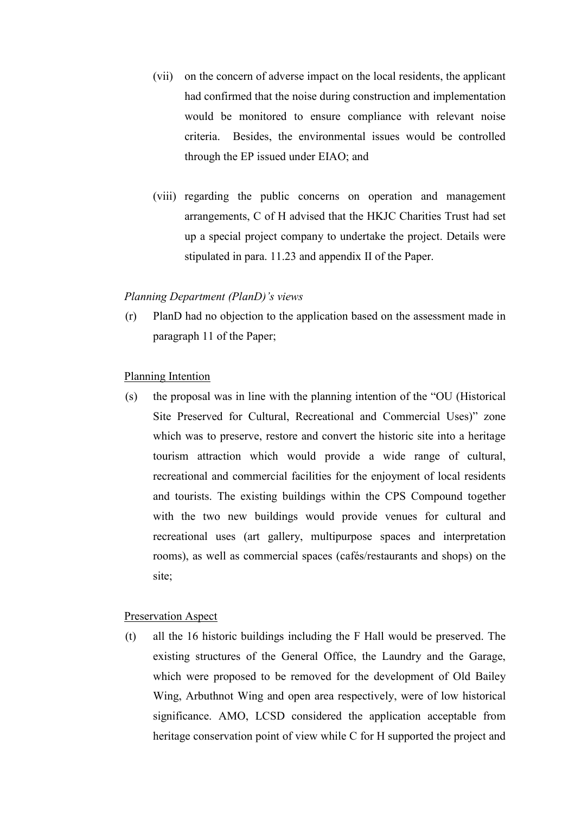- (vii) on the concern of adverse impact on the local residents, the applicant had confirmed that the noise during construction and implementation would be monitored to ensure compliance with relevant noise criteria. Besides, the environmental issues would be controlled through the EP issued under EIAO; and
- (viii) regarding the public concerns on operation and management arrangements, C of H advised that the HKJC Charities Trust had set up a special project company to undertake the project. Details were stipulated in para. 11.23 and appendix II of the Paper.

#### Planning Department (PlanD)'s views

(r) PlanD had no objection to the application based on the assessment made in paragraph 11 of the Paper;

## Planning Intention

(s) the proposal was in line with the planning intention of the "OU (Historical Site Preserved for Cultural, Recreational and Commercial Uses)" zone which was to preserve, restore and convert the historic site into a heritage tourism attraction which would provide a wide range of cultural, recreational and commercial facilities for the enjoyment of local residents and tourists. The existing buildings within the CPS Compound together with the two new buildings would provide venues for cultural and recreational uses (art gallery, multipurpose spaces and interpretation rooms), as well as commercial spaces (cafés/restaurants and shops) on the site;

### Preservation Aspect

(t) all the 16 historic buildings including the F Hall would be preserved. The existing structures of the General Office, the Laundry and the Garage, which were proposed to be removed for the development of Old Bailey Wing, Arbuthnot Wing and open area respectively, were of low historical significance. AMO, LCSD considered the application acceptable from heritage conservation point of view while C for H supported the project and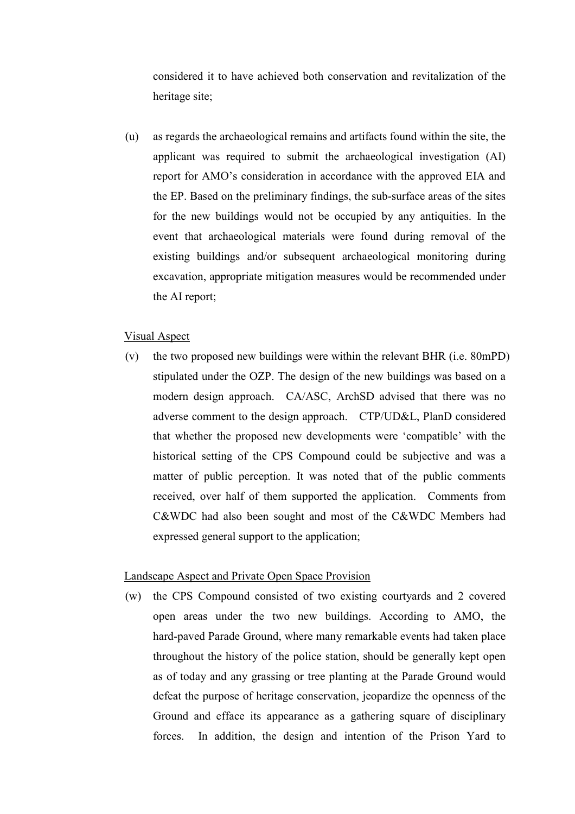considered it to have achieved both conservation and revitalization of the heritage site;

(u) as regards the archaeological remains and artifacts found within the site, the applicant was required to submit the archaeological investigation (AI) report for AMO's consideration in accordance with the approved EIA and the EP. Based on the preliminary findings, the sub-surface areas of the sites for the new buildings would not be occupied by any antiquities. In the event that archaeological materials were found during removal of the existing buildings and/or subsequent archaeological monitoring during excavation, appropriate mitigation measures would be recommended under the AI report;

## Visual Aspect

(v) the two proposed new buildings were within the relevant BHR (i.e. 80mPD) stipulated under the OZP. The design of the new buildings was based on a modern design approach. CA/ASC, ArchSD advised that there was no adverse comment to the design approach. CTP/UD&L, PlanD considered that whether the proposed new developments were 'compatible' with the historical setting of the CPS Compound could be subjective and was a matter of public perception. It was noted that of the public comments received, over half of them supported the application. Comments from C&WDC had also been sought and most of the C&WDC Members had expressed general support to the application;

## Landscape Aspect and Private Open Space Provision

(w) the CPS Compound consisted of two existing courtyards and 2 covered open areas under the two new buildings. According to AMO, the hard-paved Parade Ground, where many remarkable events had taken place throughout the history of the police station, should be generally kept open as of today and any grassing or tree planting at the Parade Ground would defeat the purpose of heritage conservation, jeopardize the openness of the Ground and efface its appearance as a gathering square of disciplinary forces. In addition, the design and intention of the Prison Yard to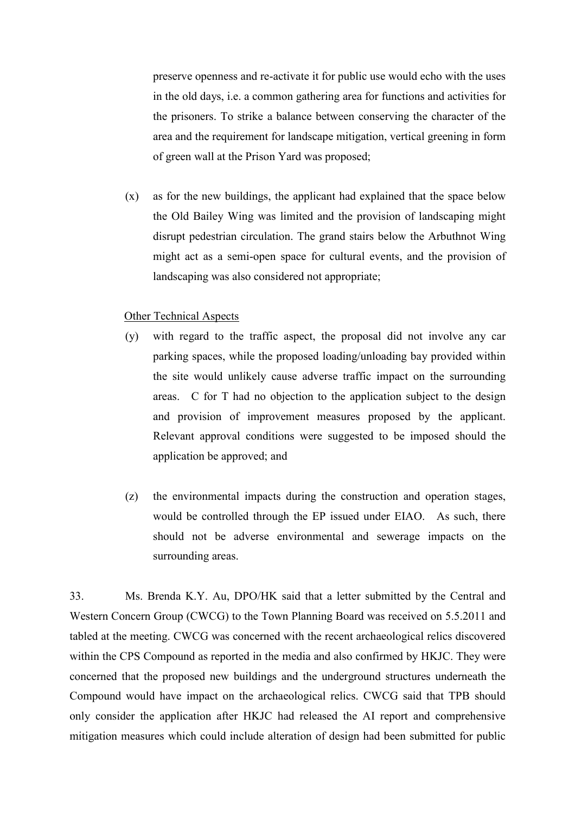preserve openness and re-activate it for public use would echo with the uses in the old days, i.e. a common gathering area for functions and activities for the prisoners. To strike a balance between conserving the character of the area and the requirement for landscape mitigation, vertical greening in form of green wall at the Prison Yard was proposed;

(x) as for the new buildings, the applicant had explained that the space below the Old Bailey Wing was limited and the provision of landscaping might disrupt pedestrian circulation. The grand stairs below the Arbuthnot Wing might act as a semi-open space for cultural events, and the provision of landscaping was also considered not appropriate;

## Other Technical Aspects

- (y) with regard to the traffic aspect, the proposal did not involve any car parking spaces, while the proposed loading/unloading bay provided within the site would unlikely cause adverse traffic impact on the surrounding areas. C for T had no objection to the application subject to the design and provision of improvement measures proposed by the applicant. Relevant approval conditions were suggested to be imposed should the application be approved; and
- (z) the environmental impacts during the construction and operation stages, would be controlled through the EP issued under EIAO. As such, there should not be adverse environmental and sewerage impacts on the surrounding areas.

33. Ms. Brenda K.Y. Au, DPO/HK said that a letter submitted by the Central and Western Concern Group (CWCG) to the Town Planning Board was received on 5.5.2011 and tabled at the meeting. CWCG was concerned with the recent archaeological relics discovered within the CPS Compound as reported in the media and also confirmed by HKJC. They were concerned that the proposed new buildings and the underground structures underneath the Compound would have impact on the archaeological relics. CWCG said that TPB should only consider the application after HKJC had released the AI report and comprehensive mitigation measures which could include alteration of design had been submitted for public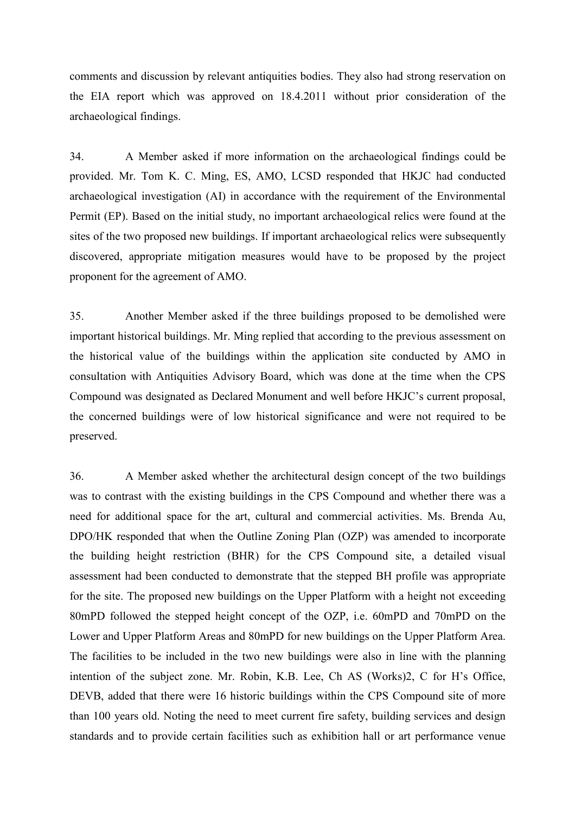comments and discussion by relevant antiquities bodies. They also had strong reservation on the EIA report which was approved on 18.4.2011 without prior consideration of the archaeological findings.

34. A Member asked if more information on the archaeological findings could be provided. Mr. Tom K. C. Ming, ES, AMO, LCSD responded that HKJC had conducted archaeological investigation (AI) in accordance with the requirement of the Environmental Permit (EP). Based on the initial study, no important archaeological relics were found at the sites of the two proposed new buildings. If important archaeological relics were subsequently discovered, appropriate mitigation measures would have to be proposed by the project proponent for the agreement of AMO.

35. Another Member asked if the three buildings proposed to be demolished were important historical buildings. Mr. Ming replied that according to the previous assessment on the historical value of the buildings within the application site conducted by AMO in consultation with Antiquities Advisory Board, which was done at the time when the CPS Compound was designated as Declared Monument and well before HKJC's current proposal, the concerned buildings were of low historical significance and were not required to be preserved.

36. A Member asked whether the architectural design concept of the two buildings was to contrast with the existing buildings in the CPS Compound and whether there was a need for additional space for the art, cultural and commercial activities. Ms. Brenda Au, DPO/HK responded that when the Outline Zoning Plan (OZP) was amended to incorporate the building height restriction (BHR) for the CPS Compound site, a detailed visual assessment had been conducted to demonstrate that the stepped BH profile was appropriate for the site. The proposed new buildings on the Upper Platform with a height not exceeding 80mPD followed the stepped height concept of the OZP, i.e. 60mPD and 70mPD on the Lower and Upper Platform Areas and 80mPD for new buildings on the Upper Platform Area. The facilities to be included in the two new buildings were also in line with the planning intention of the subject zone. Mr. Robin, K.B. Lee, Ch AS (Works)2, C for H's Office, DEVB, added that there were 16 historic buildings within the CPS Compound site of more than 100 years old. Noting the need to meet current fire safety, building services and design standards and to provide certain facilities such as exhibition hall or art performance venue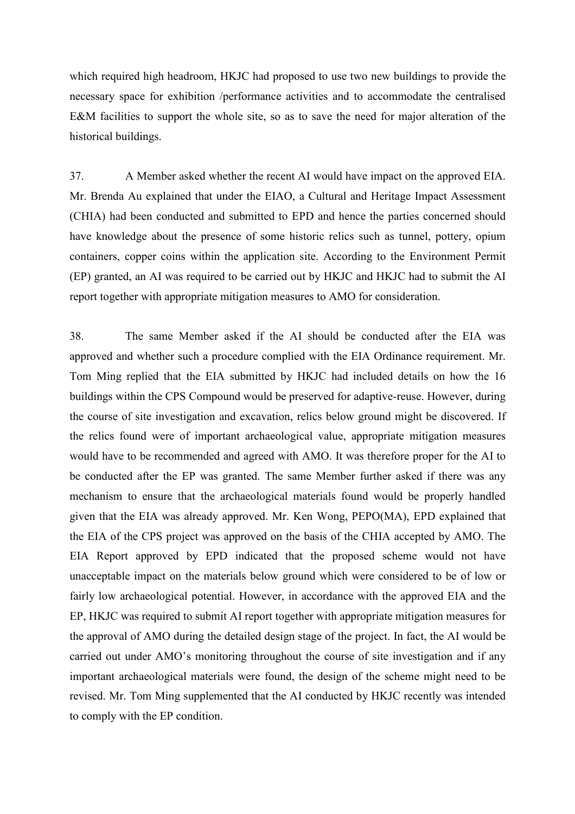which required high headroom, HKJC had proposed to use two new buildings to provide the necessary space for exhibition /performance activities and to accommodate the centralised E&M facilities to support the whole site, so as to save the need for major alteration of the historical buildings.

37. A Member asked whether the recent AI would have impact on the approved EIA. Mr. Brenda Au explained that under the EIAO, a Cultural and Heritage Impact Assessment (CHIA) had been conducted and submitted to EPD and hence the parties concerned should have knowledge about the presence of some historic relics such as tunnel, pottery, opium containers, copper coins within the application site. According to the Environment Permit (EP) granted, an AI was required to be carried out by HKJC and HKJC had to submit the AI report together with appropriate mitigation measures to AMO for consideration.

38. The same Member asked if the AI should be conducted after the EIA was approved and whether such a procedure complied with the EIA Ordinance requirement. Mr. Tom Ming replied that the EIA submitted by HKJC had included details on how the 16 buildings within the CPS Compound would be preserved for adaptive-reuse. However, during the course of site investigation and excavation, relics below ground might be discovered. If the relics found were of important archaeological value, appropriate mitigation measures would have to be recommended and agreed with AMO. It was therefore proper for the AI to be conducted after the EP was granted. The same Member further asked if there was any mechanism to ensure that the archaeological materials found would be properly handled given that the EIA was already approved. Mr. Ken Wong, PEPO(MA), EPD explained that the EIA of the CPS project was approved on the basis of the CHIA accepted by AMO. The EIA Report approved by EPD indicated that the proposed scheme would not have unacceptable impact on the materials below ground which were considered to be of low or fairly low archaeological potential. However, in accordance with the approved EIA and the EP, HKJC was required to submit AI report together with appropriate mitigation measures for the approval of AMO during the detailed design stage of the project. In fact, the AI would be carried out under AMO's monitoring throughout the course of site investigation and if any important archaeological materials were found, the design of the scheme might need to be revised. Mr. Tom Ming supplemented that the AI conducted by HKJC recently was intended to comply with the EP condition.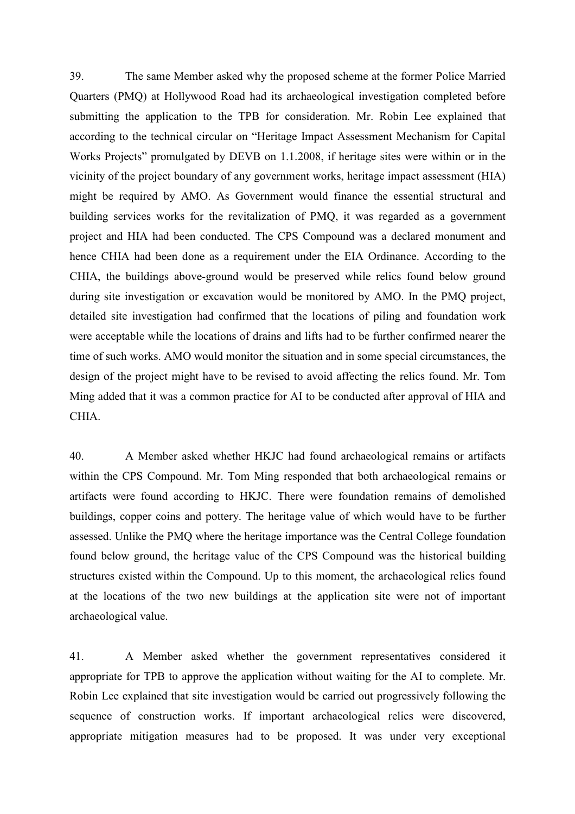39. The same Member asked why the proposed scheme at the former Police Married Quarters (PMQ) at Hollywood Road had its archaeological investigation completed before submitting the application to the TPB for consideration. Mr. Robin Lee explained that according to the technical circular on "Heritage Impact Assessment Mechanism for Capital Works Projects" promulgated by DEVB on 1.1.2008, if heritage sites were within or in the vicinity of the project boundary of any government works, heritage impact assessment (HIA) might be required by AMO. As Government would finance the essential structural and building services works for the revitalization of PMQ, it was regarded as a government project and HIA had been conducted. The CPS Compound was a declared monument and hence CHIA had been done as a requirement under the EIA Ordinance. According to the CHIA, the buildings above-ground would be preserved while relics found below ground during site investigation or excavation would be monitored by AMO. In the PMQ project, detailed site investigation had confirmed that the locations of piling and foundation work were acceptable while the locations of drains and lifts had to be further confirmed nearer the time of such works. AMO would monitor the situation and in some special circumstances, the design of the project might have to be revised to avoid affecting the relics found. Mr. Tom Ming added that it was a common practice for AI to be conducted after approval of HIA and CHIA.

40. A Member asked whether HKJC had found archaeological remains or artifacts within the CPS Compound. Mr. Tom Ming responded that both archaeological remains or artifacts were found according to HKJC. There were foundation remains of demolished buildings, copper coins and pottery. The heritage value of which would have to be further assessed. Unlike the PMQ where the heritage importance was the Central College foundation found below ground, the heritage value of the CPS Compound was the historical building structures existed within the Compound. Up to this moment, the archaeological relics found at the locations of the two new buildings at the application site were not of important archaeological value.

41. A Member asked whether the government representatives considered it appropriate for TPB to approve the application without waiting for the AI to complete. Mr. Robin Lee explained that site investigation would be carried out progressively following the sequence of construction works. If important archaeological relics were discovered, appropriate mitigation measures had to be proposed. It was under very exceptional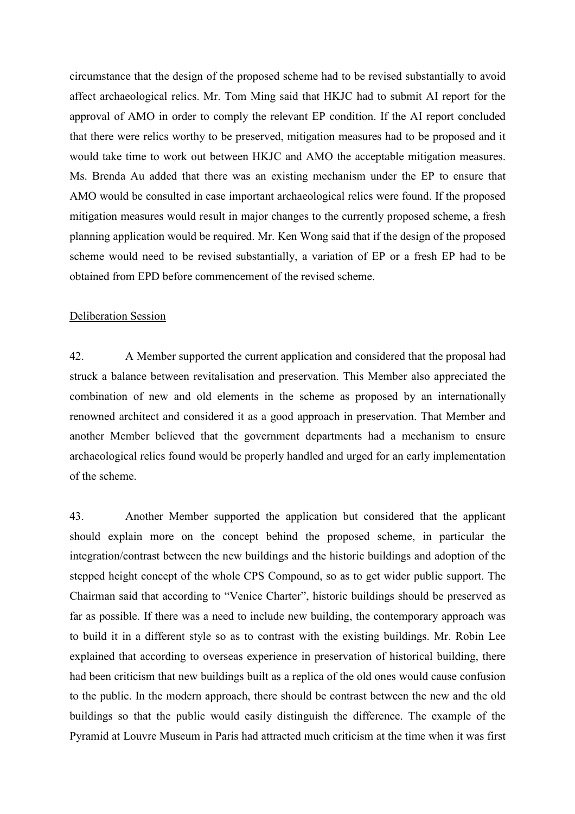circumstance that the design of the proposed scheme had to be revised substantially to avoid affect archaeological relics. Mr. Tom Ming said that HKJC had to submit AI report for the approval of AMO in order to comply the relevant EP condition. If the AI report concluded that there were relics worthy to be preserved, mitigation measures had to be proposed and it would take time to work out between HKJC and AMO the acceptable mitigation measures. Ms. Brenda Au added that there was an existing mechanism under the EP to ensure that AMO would be consulted in case important archaeological relics were found. If the proposed mitigation measures would result in major changes to the currently proposed scheme, a fresh planning application would be required. Mr. Ken Wong said that if the design of the proposed scheme would need to be revised substantially, a variation of EP or a fresh EP had to be obtained from EPD before commencement of the revised scheme.

#### Deliberation Session

42. A Member supported the current application and considered that the proposal had struck a balance between revitalisation and preservation. This Member also appreciated the combination of new and old elements in the scheme as proposed by an internationally renowned architect and considered it as a good approach in preservation. That Member and another Member believed that the government departments had a mechanism to ensure archaeological relics found would be properly handled and urged for an early implementation of the scheme.

43. Another Member supported the application but considered that the applicant should explain more on the concept behind the proposed scheme, in particular the integration/contrast between the new buildings and the historic buildings and adoption of the stepped height concept of the whole CPS Compound, so as to get wider public support. The Chairman said that according to "Venice Charter", historic buildings should be preserved as far as possible. If there was a need to include new building, the contemporary approach was to build it in a different style so as to contrast with the existing buildings. Mr. Robin Lee explained that according to overseas experience in preservation of historical building, there had been criticism that new buildings built as a replica of the old ones would cause confusion to the public. In the modern approach, there should be contrast between the new and the old buildings so that the public would easily distinguish the difference. The example of the Pyramid at Louvre Museum in Paris had attracted much criticism at the time when it was first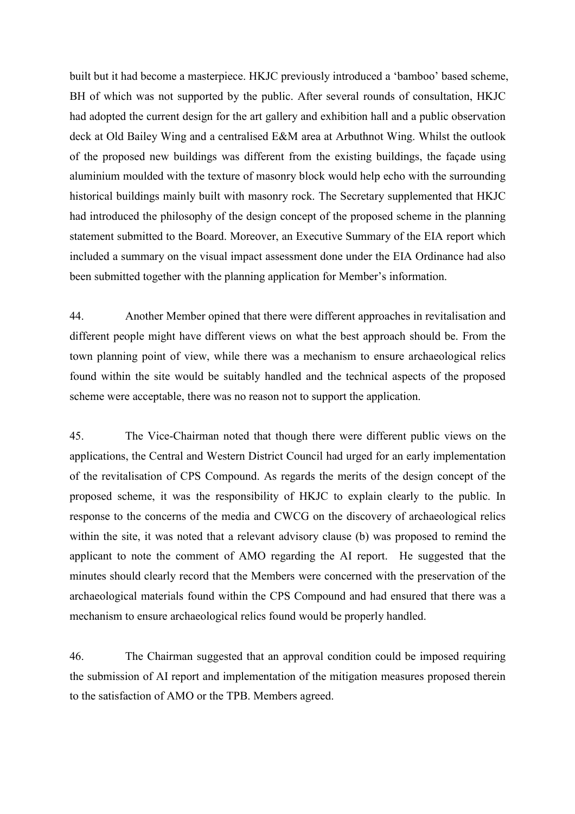built but it had become a masterpiece. HKJC previously introduced a 'bamboo' based scheme, BH of which was not supported by the public. After several rounds of consultation, HKJC had adopted the current design for the art gallery and exhibition hall and a public observation deck at Old Bailey Wing and a centralised E&M area at Arbuthnot Wing. Whilst the outlook of the proposed new buildings was different from the existing buildings, the façade using aluminium moulded with the texture of masonry block would help echo with the surrounding historical buildings mainly built with masonry rock. The Secretary supplemented that HKJC had introduced the philosophy of the design concept of the proposed scheme in the planning statement submitted to the Board. Moreover, an Executive Summary of the EIA report which included a summary on the visual impact assessment done under the EIA Ordinance had also been submitted together with the planning application for Member's information.

44. Another Member opined that there were different approaches in revitalisation and different people might have different views on what the best approach should be. From the town planning point of view, while there was a mechanism to ensure archaeological relics found within the site would be suitably handled and the technical aspects of the proposed scheme were acceptable, there was no reason not to support the application.

45. The Vice-Chairman noted that though there were different public views on the applications, the Central and Western District Council had urged for an early implementation of the revitalisation of CPS Compound. As regards the merits of the design concept of the proposed scheme, it was the responsibility of HKJC to explain clearly to the public. In response to the concerns of the media and CWCG on the discovery of archaeological relics within the site, it was noted that a relevant advisory clause (b) was proposed to remind the applicant to note the comment of AMO regarding the AI report. He suggested that the minutes should clearly record that the Members were concerned with the preservation of the archaeological materials found within the CPS Compound and had ensured that there was a mechanism to ensure archaeological relics found would be properly handled.

46. The Chairman suggested that an approval condition could be imposed requiring the submission of AI report and implementation of the mitigation measures proposed therein to the satisfaction of AMO or the TPB. Members agreed.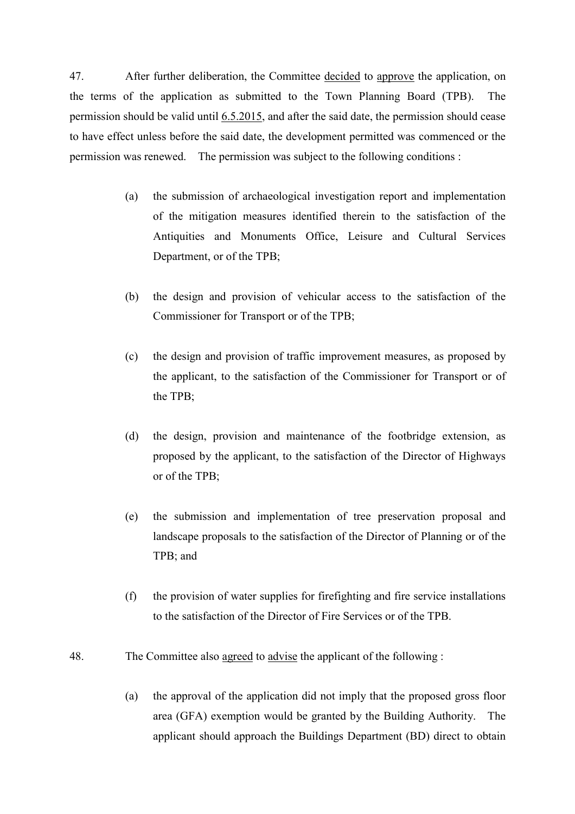47. After further deliberation, the Committee decided to approve the application, on the terms of the application as submitted to the Town Planning Board (TPB). The permission should be valid until 6.5.2015, and after the said date, the permission should cease to have effect unless before the said date, the development permitted was commenced or the permission was renewed. The permission was subject to the following conditions :

- (a) the submission of archaeological investigation report and implementation of the mitigation measures identified therein to the satisfaction of the Antiquities and Monuments Office, Leisure and Cultural Services Department, or of the TPB;
- (b) the design and provision of vehicular access to the satisfaction of the Commissioner for Transport or of the TPB;
- (c) the design and provision of traffic improvement measures, as proposed by the applicant, to the satisfaction of the Commissioner for Transport or of the TPB;
- (d) the design, provision and maintenance of the footbridge extension, as proposed by the applicant, to the satisfaction of the Director of Highways or of the TPB;
- (e) the submission and implementation of tree preservation proposal and landscape proposals to the satisfaction of the Director of Planning or of the TPB; and
- (f) the provision of water supplies for firefighting and fire service installations to the satisfaction of the Director of Fire Services or of the TPB.
- 48. The Committee also agreed to advise the applicant of the following :
	- (a) the approval of the application did not imply that the proposed gross floor area (GFA) exemption would be granted by the Building Authority. The applicant should approach the Buildings Department (BD) direct to obtain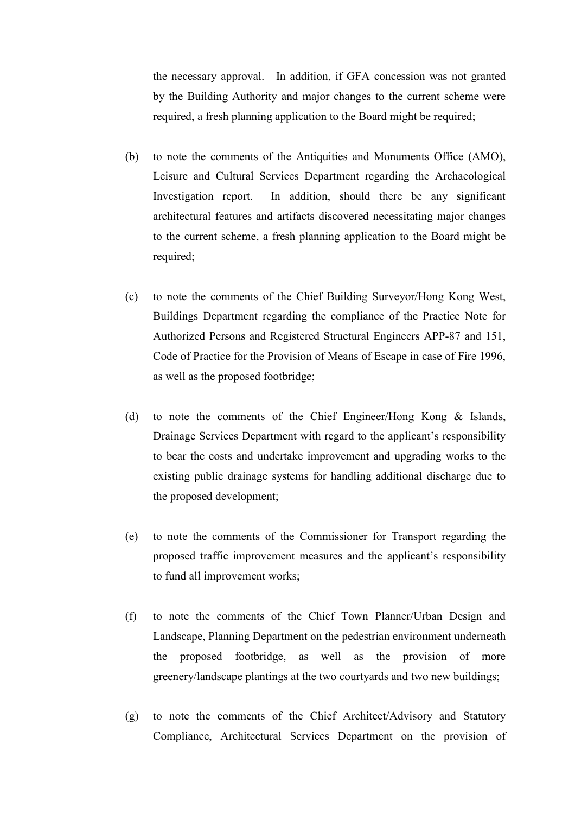the necessary approval. In addition, if GFA concession was not granted by the Building Authority and major changes to the current scheme were required, a fresh planning application to the Board might be required;

- (b) to note the comments of the Antiquities and Monuments Office (AMO), Leisure and Cultural Services Department regarding the Archaeological Investigation report. In addition, should there be any significant architectural features and artifacts discovered necessitating major changes to the current scheme, a fresh planning application to the Board might be required;
- (c) to note the comments of the Chief Building Surveyor/Hong Kong West, Buildings Department regarding the compliance of the Practice Note for Authorized Persons and Registered Structural Engineers APP-87 and 151, Code of Practice for the Provision of Means of Escape in case of Fire 1996, as well as the proposed footbridge;
- (d) to note the comments of the Chief Engineer/Hong Kong & Islands, Drainage Services Department with regard to the applicant's responsibility to bear the costs and undertake improvement and upgrading works to the existing public drainage systems for handling additional discharge due to the proposed development;
- (e) to note the comments of the Commissioner for Transport regarding the proposed traffic improvement measures and the applicant's responsibility to fund all improvement works;
- (f) to note the comments of the Chief Town Planner/Urban Design and Landscape, Planning Department on the pedestrian environment underneath the proposed footbridge, as well as the provision of more greenery/landscape plantings at the two courtyards and two new buildings;
- (g) to note the comments of the Chief Architect/Advisory and Statutory Compliance, Architectural Services Department on the provision of